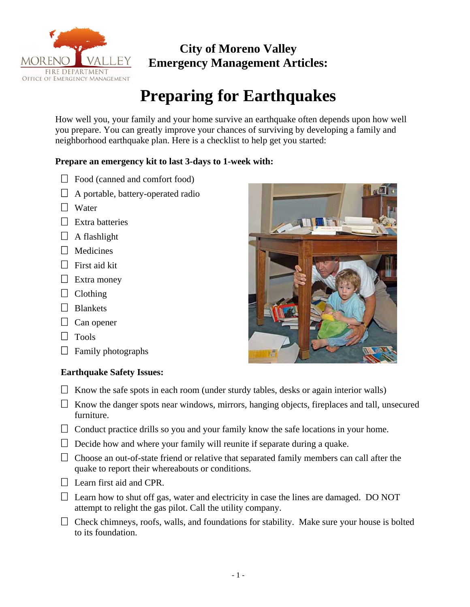

# **City of Moreno Valley Emergency Management Articles:**

# **Preparing for Earthquakes**

How well you, your family and your home survive an earthquake often depends upon how well you prepare. You can greatly improve your chances of surviving by developing a family and neighborhood earthquake plan. Here is a checklist to help get you started:

### **Prepare an emergency kit to last 3-days to 1-week with:**

- $\Box$  Food (canned and comfort food)
- $\Box$  A portable, battery-operated radio
- $\Box$  Water
- $\Box$  Extra batteries
- $\Box$  A flashlight
- **D** Medicines
- $\Box$  First aid kit
- $\Box$  Extra money
- $\Box$  Clothing
- $\Box$  Blankets
- $\Box$  Can opener
- $\Box$  Tools
- $\Box$  Family photographs

## **Earthquake Safety Issues:**

- $\Box$  Know the safe spots in each room (under sturdy tables, desks or again interior walls)
- $\Box$  Know the danger spots near windows, mirrors, hanging objects, fireplaces and tall, unsecured furniture.
- $\Box$  Conduct practice drills so you and your family know the safe locations in your home.
- $\Box$  Decide how and where your family will reunite if separate during a quake.
- $\Box$  Choose an out-of-state friend or relative that separated family members can call after the quake to report their whereabouts or conditions.
- $\Box$  Learn first aid and CPR.
- $\Box$  Learn how to shut off gas, water and electricity in case the lines are damaged. DO NOT attempt to relight the gas pilot. Call the utility company.
- $\Box$  Check chimneys, roofs, walls, and foundations for stability. Make sure your house is bolted to its foundation.